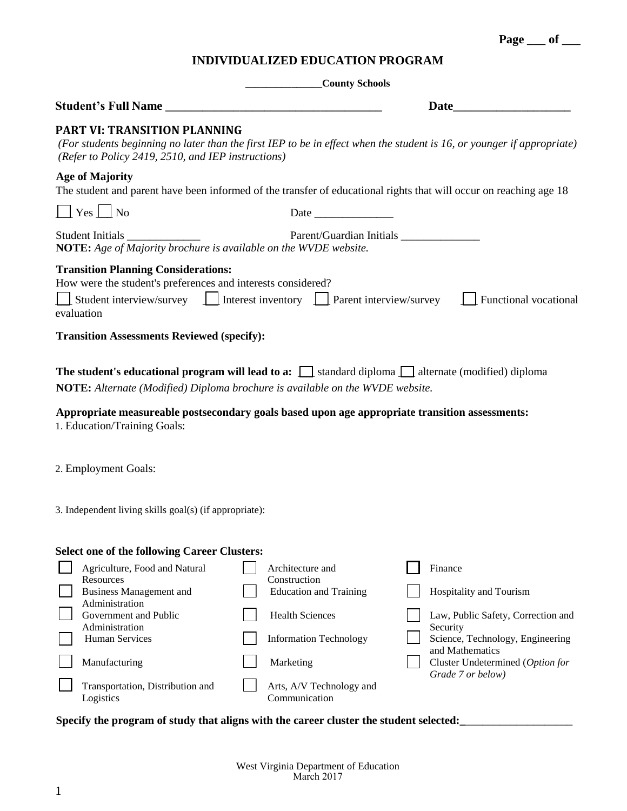Arts, A/V Technology and

Communication

Logistics

Government and Public Administration

Transportation, Distribution and

1

 $\mathbf{I}$ 

## **INDIVIDUALIZED EDUCATION PROGRAM**

|                                                                                                                                                       | County Schools                                                                                                                                                                                                                                                                                                 |
|-------------------------------------------------------------------------------------------------------------------------------------------------------|----------------------------------------------------------------------------------------------------------------------------------------------------------------------------------------------------------------------------------------------------------------------------------------------------------------|
| Student's Full Name                                                                                                                                   | <b>Date</b> and <b>Date</b>                                                                                                                                                                                                                                                                                    |
| <b>PART VI: TRANSITION PLANNING</b><br>(Refer to Policy 2419, 2510, and IEP instructions)                                                             | (For students beginning no later than the first IEP to be in effect when the student is 16, or younger if appropriate)                                                                                                                                                                                         |
| <b>Age of Majority</b>                                                                                                                                | The student and parent have been informed of the transfer of educational rights that will occur on reaching age 18                                                                                                                                                                                             |
| $\Box$ Yes $\Box$ No                                                                                                                                  | Date                                                                                                                                                                                                                                                                                                           |
| Student Initials ______________<br>NOTE: Age of Majority brochure is available on the WVDE website.                                                   | Parent/Guardian Initials                                                                                                                                                                                                                                                                                       |
| <b>Transition Planning Considerations:</b><br>How were the student's preferences and interests considered?<br>evaluation                              | Student interview/survey $\Box$ Interest inventory $\Box$ Parent interview/survey $\Box$ Functional vocational                                                                                                                                                                                                 |
| <b>Transition Assessments Reviewed (specify):</b>                                                                                                     |                                                                                                                                                                                                                                                                                                                |
| 1. Education/Training Goals:                                                                                                                          | <b>The student's educational program will lead to a:</b> $\[\]$ standard diploma $\[\]$ alternate (modified) diploma<br><b>NOTE:</b> Alternate (Modified) Diploma brochure is available on the WVDE website.<br>Appropriate measureable postsecondary goals based upon age appropriate transition assessments: |
| 2. Employment Goals:                                                                                                                                  |                                                                                                                                                                                                                                                                                                                |
| 3. Independent living skills goal(s) (if appropriate):                                                                                                |                                                                                                                                                                                                                                                                                                                |
| <b>Select one of the following Career Clusters:</b><br>Agriculture, Food and Natural<br>Resources<br><b>Business Management and</b><br>Administration | Architecture and<br>Finance<br>Construction<br><b>Education and Training</b><br>Hospitality and Tourism                                                                                                                                                                                                        |

Health Sciences Law, Public Safety, Correction and Security Human Services Information Technology Science, Technology, Engineering

**Page \_\_\_ of \_\_\_**

- and Mathematics Manufacturing Marketing Marketing Cluster Undetermined (*Option for* **Cluster** Undetermined (*Option for* 
	- *Grade 7 or below)*

## Specify the program of study that aligns with the career cluster the student selected: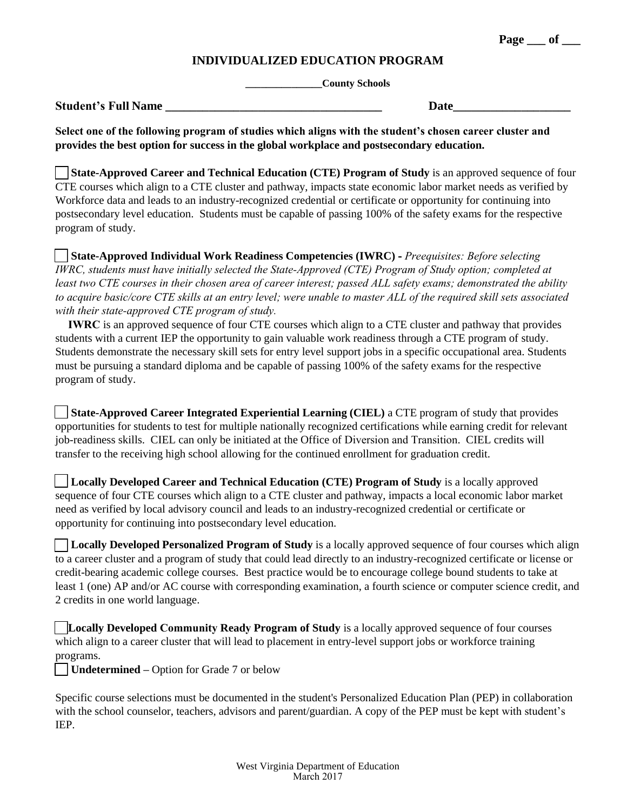**Page** of

## **INDIVIDUALIZED EDUCATION PROGRAM**

**\_\_\_\_\_\_\_\_\_\_\_\_\_\_\_County Schools**

| <b>Student's Full Name</b> |  |
|----------------------------|--|
|----------------------------|--|

**Select one of the following program of studies which aligns with the student's chosen career cluster and provides the best option for success in the global workplace and postsecondary education.**

**State-Approved Career and Technical Education (CTE) Program of Study** is an approved sequence of four CTE courses which align to a CTE cluster and pathway, impacts state economic labor market needs as verified by Workforce data and leads to an industry-recognized credential or certificate or opportunity for continuing into postsecondary level education. Students must be capable of passing 100% of the safety exams for the respective program of study.

**State-Approved Individual Work Readiness Competencies (IWRC) -** *Preequisites: Before selecting IWRC, students must have initially selected the State-Approved (CTE) Program of Study option; completed at least two CTE courses in their chosen area of career interest; passed ALL safety exams; demonstrated the ability to acquire basic/core CTE skills at an entry level; were unable to master ALL of the required skill sets associated with their state-approved CTE program of study.*

**IWRC** is an approved sequence of four CTE courses which align to a CTE cluster and pathway that provides students with a current IEP the opportunity to gain valuable work readiness through a CTE program of study. Students demonstrate the necessary skill sets for entry level support jobs in a specific occupational area. Students must be pursuing a standard diploma and be capable of passing 100% of the safety exams for the respective program of study.

**State-Approved Career Integrated Experiential Learning (CIEL)** a CTE program of study that provides opportunities for students to test for multiple nationally recognized certifications while earning credit for relevant job-readiness skills. CIEL can only be initiated at the Office of Diversion and Transition. CIEL credits will transfer to the receiving high school allowing for the continued enrollment for graduation credit.

**Locally Developed Career and Technical Education (CTE) Program of Study** is a locally approved sequence of four CTE courses which align to a CTE cluster and pathway, impacts a local economic labor market need as verified by local advisory council and leads to an industry-recognized credential or certificate or opportunity for continuing into postsecondary level education.

**Locally Developed Personalized Program of Study** is a locally approved sequence of four courses which align to a career cluster and a program of study that could lead directly to an industry-recognized certificate or license or credit-bearing academic college courses. Best practice would be to encourage college bound students to take at least 1 (one) AP and/or AC course with corresponding examination, a fourth science or computer science credit, and 2 credits in one world language.

**Locally Developed Community Ready Program of Study** is a locally approved sequence of four courses which align to a career cluster that will lead to placement in entry-level support jobs or workforce training programs.

**Undetermined –** Option for Grade 7 or below

Specific course selections must be documented in the student's Personalized Education Plan (PEP) in collaboration with the school counselor, teachers, advisors and parent/guardian. A copy of the PEP must be kept with student's IEP.